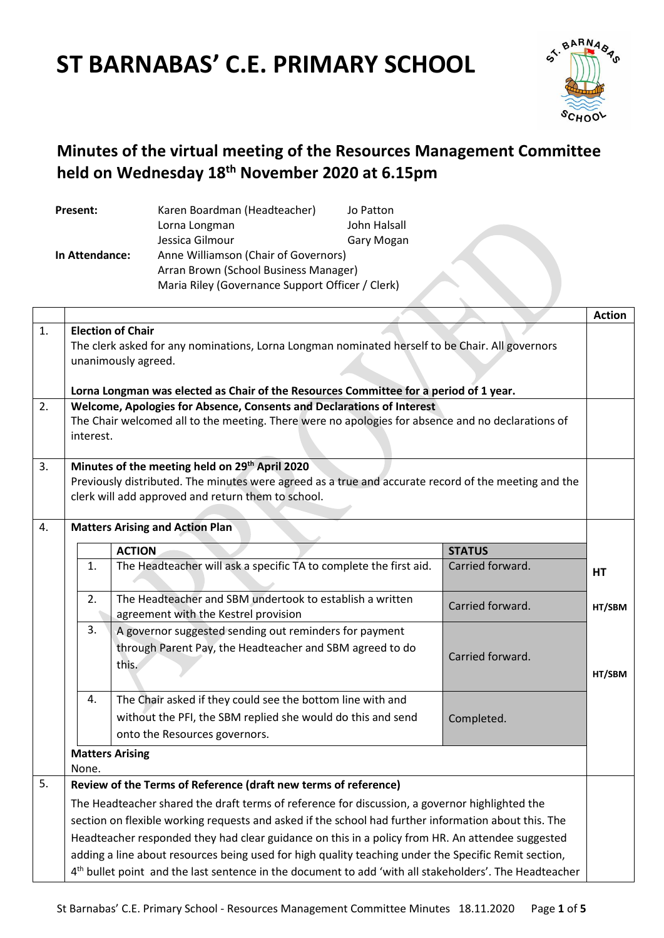# **ST BARNABAS' C.E. PRIMARY SCHOOL**



## **Minutes of the virtual meeting of the Resources Management Committee held on Wednesday 18th November 2020 at 6.15pm**

| Present:                                               | Karen Boardman (Headteacher)                     | Jo Patton         |
|--------------------------------------------------------|--------------------------------------------------|-------------------|
|                                                        | Lorna Longman                                    | John Halsall      |
|                                                        | Jessica Gilmour                                  | <b>Gary Mogan</b> |
| Anne Williamson (Chair of Governors)<br>In Attendance: |                                                  |                   |
|                                                        | Arran Brown (School Business Manager)            |                   |
|                                                        | Maria Riley (Governance Support Officer / Clerk) |                   |

|    |                                                                                                                    |                                                                                                                                                                            |                  | <b>Action</b> |
|----|--------------------------------------------------------------------------------------------------------------------|----------------------------------------------------------------------------------------------------------------------------------------------------------------------------|------------------|---------------|
| 1. | <b>Election of Chair</b>                                                                                           |                                                                                                                                                                            |                  |               |
|    | The clerk asked for any nominations, Lorna Longman nominated herself to be Chair. All governors                    |                                                                                                                                                                            |                  |               |
|    | unanimously agreed.                                                                                                |                                                                                                                                                                            |                  |               |
|    |                                                                                                                    |                                                                                                                                                                            |                  |               |
| 2. |                                                                                                                    | Lorna Longman was elected as Chair of the Resources Committee for a period of 1 year.                                                                                      |                  |               |
|    |                                                                                                                    | Welcome, Apologies for Absence, Consents and Declarations of Interest<br>The Chair welcomed all to the meeting. There were no apologies for absence and no declarations of |                  |               |
|    | interest.                                                                                                          |                                                                                                                                                                            |                  |               |
|    |                                                                                                                    |                                                                                                                                                                            |                  |               |
| 3. |                                                                                                                    | Minutes of the meeting held on 29 <sup>th</sup> April 2020                                                                                                                 |                  |               |
|    |                                                                                                                    | Previously distributed. The minutes were agreed as a true and accurate record of the meeting and the                                                                       |                  |               |
|    |                                                                                                                    | clerk will add approved and return them to school.                                                                                                                         |                  |               |
|    |                                                                                                                    |                                                                                                                                                                            |                  |               |
| 4. |                                                                                                                    | <b>Matters Arising and Action Plan</b>                                                                                                                                     |                  |               |
|    |                                                                                                                    | <b>ACTION</b>                                                                                                                                                              | <b>STATUS</b>    |               |
|    | 1.                                                                                                                 | The Headteacher will ask a specific TA to complete the first aid.                                                                                                          | Carried forward. | HT            |
|    |                                                                                                                    |                                                                                                                                                                            |                  |               |
|    | 2.                                                                                                                 | The Headteacher and SBM undertook to establish a written                                                                                                                   | Carried forward. | HT/SBM        |
|    |                                                                                                                    | agreement with the Kestrel provision                                                                                                                                       |                  |               |
|    | 3.                                                                                                                 | A governor suggested sending out reminders for payment                                                                                                                     |                  |               |
|    |                                                                                                                    | through Parent Pay, the Headteacher and SBM agreed to do                                                                                                                   | Carried forward. |               |
|    |                                                                                                                    | this.                                                                                                                                                                      |                  | HT/SBM        |
|    |                                                                                                                    |                                                                                                                                                                            |                  |               |
|    | 4.                                                                                                                 | The Chair asked if they could see the bottom line with and                                                                                                                 |                  |               |
|    |                                                                                                                    | without the PFI, the SBM replied she would do this and send                                                                                                                | Completed.       |               |
|    |                                                                                                                    | onto the Resources governors.                                                                                                                                              |                  |               |
|    |                                                                                                                    | <b>Matters Arising</b>                                                                                                                                                     |                  |               |
|    | None.                                                                                                              |                                                                                                                                                                            |                  |               |
| 5. |                                                                                                                    | Review of the Terms of Reference (draft new terms of reference)                                                                                                            |                  |               |
|    |                                                                                                                    | The Headteacher shared the draft terms of reference for discussion, a governor highlighted the                                                                             |                  |               |
|    | section on flexible working requests and asked if the school had further information about this. The               |                                                                                                                                                                            |                  |               |
|    | Headteacher responded they had clear guidance on this in a policy from HR. An attendee suggested                   |                                                                                                                                                                            |                  |               |
|    | adding a line about resources being used for high quality teaching under the Specific Remit section,               |                                                                                                                                                                            |                  |               |
|    | 4 <sup>th</sup> bullet point and the last sentence in the document to add 'with all stakeholders'. The Headteacher |                                                                                                                                                                            |                  |               |
|    |                                                                                                                    |                                                                                                                                                                            |                  |               |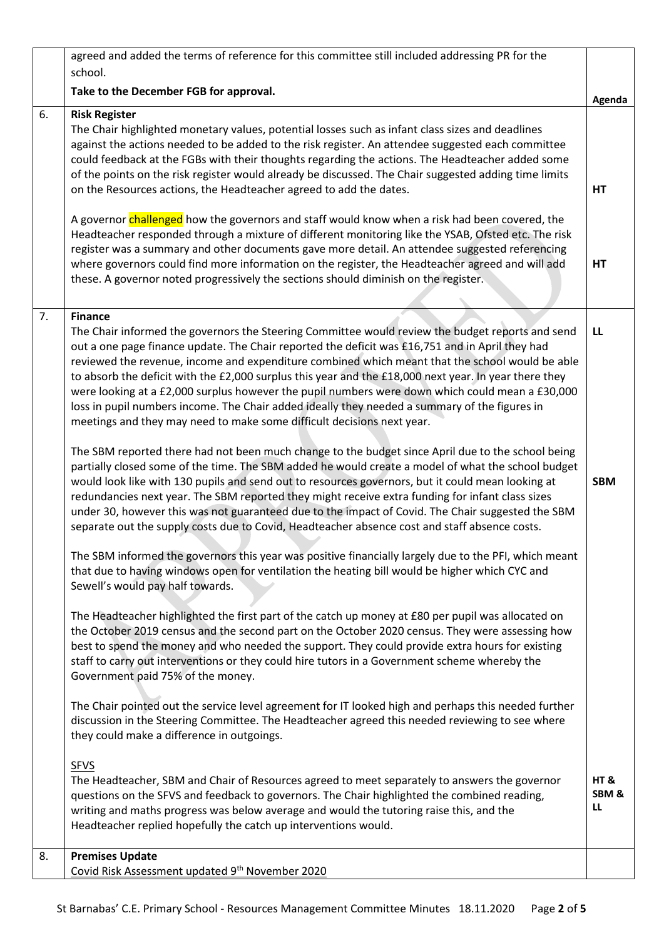|    | agreed and added the terms of reference for this committee still included addressing PR for the                                                                                                                                                                                                                                                                                                                                                                                                                                                                                                                                                                                                                                                                                                                                                                                                                                                                                                                                                                                                                                                                                                                                                                                                                                                                                                                                                                                                                                                                        |                  |
|----|------------------------------------------------------------------------------------------------------------------------------------------------------------------------------------------------------------------------------------------------------------------------------------------------------------------------------------------------------------------------------------------------------------------------------------------------------------------------------------------------------------------------------------------------------------------------------------------------------------------------------------------------------------------------------------------------------------------------------------------------------------------------------------------------------------------------------------------------------------------------------------------------------------------------------------------------------------------------------------------------------------------------------------------------------------------------------------------------------------------------------------------------------------------------------------------------------------------------------------------------------------------------------------------------------------------------------------------------------------------------------------------------------------------------------------------------------------------------------------------------------------------------------------------------------------------------|------------------|
|    | school.                                                                                                                                                                                                                                                                                                                                                                                                                                                                                                                                                                                                                                                                                                                                                                                                                                                                                                                                                                                                                                                                                                                                                                                                                                                                                                                                                                                                                                                                                                                                                                |                  |
|    | Take to the December FGB for approval.                                                                                                                                                                                                                                                                                                                                                                                                                                                                                                                                                                                                                                                                                                                                                                                                                                                                                                                                                                                                                                                                                                                                                                                                                                                                                                                                                                                                                                                                                                                                 | Agenda           |
| 6. | <b>Risk Register</b><br>The Chair highlighted monetary values, potential losses such as infant class sizes and deadlines<br>against the actions needed to be added to the risk register. An attendee suggested each committee<br>could feedback at the FGBs with their thoughts regarding the actions. The Headteacher added some<br>of the points on the risk register would already be discussed. The Chair suggested adding time limits<br>on the Resources actions, the Headteacher agreed to add the dates.<br>A governor challenged how the governors and staff would know when a risk had been covered, the<br>Headteacher responded through a mixture of different monitoring like the YSAB, Ofsted etc. The risk<br>register was a summary and other documents gave more detail. An attendee suggested referencing<br>where governors could find more information on the register, the Headteacher agreed and will add<br>these. A governor noted progressively the sections should diminish on the register.                                                                                                                                                                                                                                                                                                                                                                                                                                                                                                                                                 | HT<br>HT         |
| 7. | <b>Finance</b>                                                                                                                                                                                                                                                                                                                                                                                                                                                                                                                                                                                                                                                                                                                                                                                                                                                                                                                                                                                                                                                                                                                                                                                                                                                                                                                                                                                                                                                                                                                                                         |                  |
|    | The Chair informed the governors the Steering Committee would review the budget reports and send<br>out a one page finance update. The Chair reported the deficit was £16,751 and in April they had<br>reviewed the revenue, income and expenditure combined which meant that the school would be able<br>to absorb the deficit with the £2,000 surplus this year and the £18,000 next year. In year there they<br>were looking at a £2,000 surplus however the pupil numbers were down which could mean a £30,000<br>loss in pupil numbers income. The Chair added ideally they needed a summary of the figures in<br>meetings and they may need to make some difficult decisions next year.<br>The SBM reported there had not been much change to the budget since April due to the school being<br>partially closed some of the time. The SBM added he would create a model of what the school budget<br>would look like with 130 pupils and send out to resources governors, but it could mean looking at<br>redundancies next year. The SBM reported they might receive extra funding for infant class sizes<br>under 30, however this was not guaranteed due to the impact of Covid. The Chair suggested the SBM<br>separate out the supply costs due to Covid, Headteacher absence cost and staff absence costs.<br>The SBM informed the governors this year was positive financially largely due to the PFI, which meant<br>that due to having windows open for ventilation the heating bill would be higher which CYC and<br>Sewell's would pay half towards. | LL<br><b>SBM</b> |
|    | The Headteacher highlighted the first part of the catch up money at £80 per pupil was allocated on                                                                                                                                                                                                                                                                                                                                                                                                                                                                                                                                                                                                                                                                                                                                                                                                                                                                                                                                                                                                                                                                                                                                                                                                                                                                                                                                                                                                                                                                     |                  |
|    | the October 2019 census and the second part on the October 2020 census. They were assessing how<br>best to spend the money and who needed the support. They could provide extra hours for existing<br>staff to carry out interventions or they could hire tutors in a Government scheme whereby the<br>Government paid 75% of the money.                                                                                                                                                                                                                                                                                                                                                                                                                                                                                                                                                                                                                                                                                                                                                                                                                                                                                                                                                                                                                                                                                                                                                                                                                               |                  |
|    | The Chair pointed out the service level agreement for IT looked high and perhaps this needed further<br>discussion in the Steering Committee. The Headteacher agreed this needed reviewing to see where<br>they could make a difference in outgoings.                                                                                                                                                                                                                                                                                                                                                                                                                                                                                                                                                                                                                                                                                                                                                                                                                                                                                                                                                                                                                                                                                                                                                                                                                                                                                                                  |                  |
|    | <b>SFVS</b>                                                                                                                                                                                                                                                                                                                                                                                                                                                                                                                                                                                                                                                                                                                                                                                                                                                                                                                                                                                                                                                                                                                                                                                                                                                                                                                                                                                                                                                                                                                                                            |                  |
|    | The Headteacher, SBM and Chair of Resources agreed to meet separately to answers the governor<br>questions on the SFVS and feedback to governors. The Chair highlighted the combined reading,<br>writing and maths progress was below average and would the tutoring raise this, and the<br>Headteacher replied hopefully the catch up interventions would.                                                                                                                                                                                                                                                                                                                                                                                                                                                                                                                                                                                                                                                                                                                                                                                                                                                                                                                                                                                                                                                                                                                                                                                                            | HT&<br>SBM&<br>ш |
| 8. | <b>Premises Update</b>                                                                                                                                                                                                                                                                                                                                                                                                                                                                                                                                                                                                                                                                                                                                                                                                                                                                                                                                                                                                                                                                                                                                                                                                                                                                                                                                                                                                                                                                                                                                                 |                  |
|    | Covid Risk Assessment updated 9th November 2020                                                                                                                                                                                                                                                                                                                                                                                                                                                                                                                                                                                                                                                                                                                                                                                                                                                                                                                                                                                                                                                                                                                                                                                                                                                                                                                                                                                                                                                                                                                        |                  |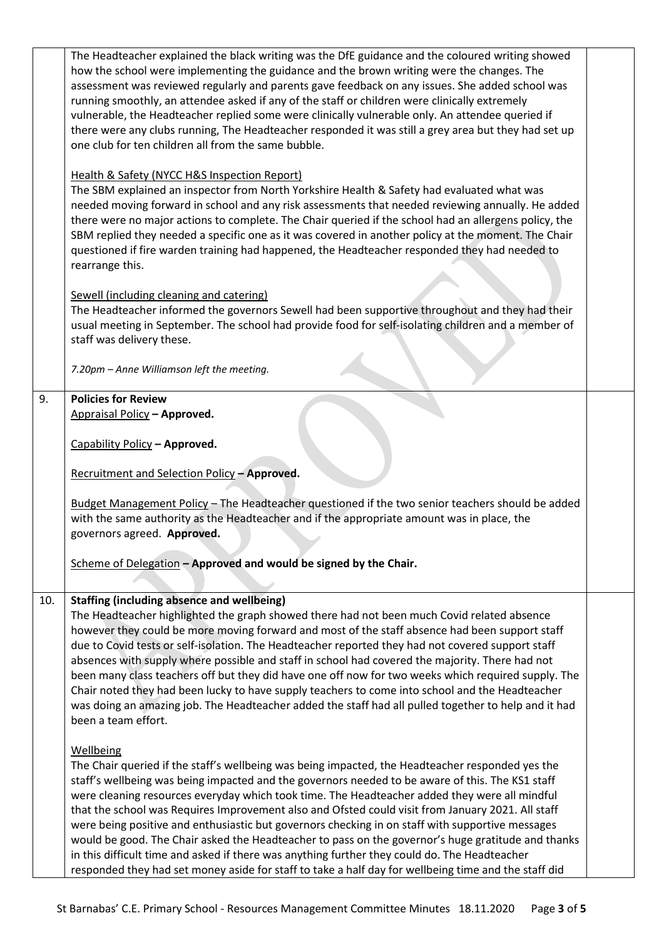|     | The Headteacher explained the black writing was the DfE guidance and the coloured writing showed                                                                                                      |  |
|-----|-------------------------------------------------------------------------------------------------------------------------------------------------------------------------------------------------------|--|
|     | how the school were implementing the guidance and the brown writing were the changes. The                                                                                                             |  |
|     | assessment was reviewed regularly and parents gave feedback on any issues. She added school was                                                                                                       |  |
|     | running smoothly, an attendee asked if any of the staff or children were clinically extremely                                                                                                         |  |
|     | vulnerable, the Headteacher replied some were clinically vulnerable only. An attendee queried if                                                                                                      |  |
|     | there were any clubs running, The Headteacher responded it was still a grey area but they had set up                                                                                                  |  |
|     | one club for ten children all from the same bubble.                                                                                                                                                   |  |
|     |                                                                                                                                                                                                       |  |
|     | Health & Safety (NYCC H&S Inspection Report)                                                                                                                                                          |  |
|     | The SBM explained an inspector from North Yorkshire Health & Safety had evaluated what was                                                                                                            |  |
|     | needed moving forward in school and any risk assessments that needed reviewing annually. He added                                                                                                     |  |
|     | there were no major actions to complete. The Chair queried if the school had an allergens policy, the                                                                                                 |  |
|     | SBM replied they needed a specific one as it was covered in another policy at the moment. The Chair                                                                                                   |  |
|     |                                                                                                                                                                                                       |  |
|     | questioned if fire warden training had happened, the Headteacher responded they had needed to                                                                                                         |  |
|     | rearrange this.                                                                                                                                                                                       |  |
|     |                                                                                                                                                                                                       |  |
|     | Sewell (including cleaning and catering)                                                                                                                                                              |  |
|     | The Headteacher informed the governors Sewell had been supportive throughout and they had their                                                                                                       |  |
|     | usual meeting in September. The school had provide food for self-isolating children and a member of                                                                                                   |  |
|     | staff was delivery these.                                                                                                                                                                             |  |
|     |                                                                                                                                                                                                       |  |
|     | 7.20pm - Anne Williamson left the meeting.                                                                                                                                                            |  |
|     |                                                                                                                                                                                                       |  |
| 9.  | <b>Policies for Review</b>                                                                                                                                                                            |  |
|     | Appraisal Policy - Approved.                                                                                                                                                                          |  |
|     |                                                                                                                                                                                                       |  |
|     | Capability Policy - Approved.                                                                                                                                                                         |  |
|     | Recruitment and Selection Policy - Approved.                                                                                                                                                          |  |
|     |                                                                                                                                                                                                       |  |
|     | Budget Management Policy - The Headteacher questioned if the two senior teachers should be added                                                                                                      |  |
|     | with the same authority as the Headteacher and if the appropriate amount was in place, the                                                                                                            |  |
|     | governors agreed. Approved.                                                                                                                                                                           |  |
|     |                                                                                                                                                                                                       |  |
|     | Scheme of Delegation - Approved and would be signed by the Chair.                                                                                                                                     |  |
|     |                                                                                                                                                                                                       |  |
|     |                                                                                                                                                                                                       |  |
| 10. | <b>Staffing (including absence and wellbeing)</b>                                                                                                                                                     |  |
|     | The Headteacher highlighted the graph showed there had not been much Covid related absence                                                                                                            |  |
|     | however they could be more moving forward and most of the staff absence had been support staff                                                                                                        |  |
|     | due to Covid tests or self-isolation. The Headteacher reported they had not covered support staff                                                                                                     |  |
|     | absences with supply where possible and staff in school had covered the majority. There had not                                                                                                       |  |
|     | been many class teachers off but they did have one off now for two weeks which required supply. The                                                                                                   |  |
|     | Chair noted they had been lucky to have supply teachers to come into school and the Headteacher                                                                                                       |  |
|     | was doing an amazing job. The Headteacher added the staff had all pulled together to help and it had                                                                                                  |  |
|     | been a team effort.                                                                                                                                                                                   |  |
|     |                                                                                                                                                                                                       |  |
|     | Wellbeing                                                                                                                                                                                             |  |
|     | The Chair queried if the staff's wellbeing was being impacted, the Headteacher responded yes the                                                                                                      |  |
|     | staff's wellbeing was being impacted and the governors needed to be aware of this. The KS1 staff                                                                                                      |  |
|     | were cleaning resources everyday which took time. The Headteacher added they were all mindful                                                                                                         |  |
|     | that the school was Requires Improvement also and Ofsted could visit from January 2021. All staff                                                                                                     |  |
|     |                                                                                                                                                                                                       |  |
|     |                                                                                                                                                                                                       |  |
|     | were being positive and enthusiastic but governors checking in on staff with supportive messages                                                                                                      |  |
|     | would be good. The Chair asked the Headteacher to pass on the governor's huge gratitude and thanks                                                                                                    |  |
|     | in this difficult time and asked if there was anything further they could do. The Headteacher<br>responded they had set money aside for staff to take a half day for wellbeing time and the staff did |  |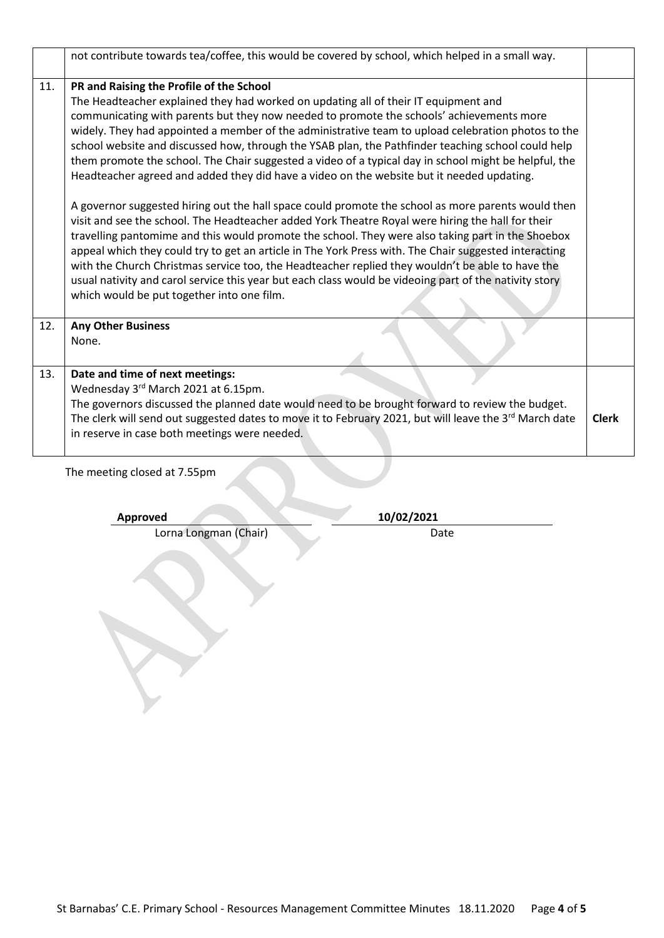|     | not contribute towards tea/coffee, this would be covered by school, which helped in a small way.                                                                                                                                                                                                                                                                                                                                                                                                                                                                                                                                                                                                                                                                                                                                                                                                                                                                                                                                                                                                                                                                                                                                                                                                                                   |              |
|-----|------------------------------------------------------------------------------------------------------------------------------------------------------------------------------------------------------------------------------------------------------------------------------------------------------------------------------------------------------------------------------------------------------------------------------------------------------------------------------------------------------------------------------------------------------------------------------------------------------------------------------------------------------------------------------------------------------------------------------------------------------------------------------------------------------------------------------------------------------------------------------------------------------------------------------------------------------------------------------------------------------------------------------------------------------------------------------------------------------------------------------------------------------------------------------------------------------------------------------------------------------------------------------------------------------------------------------------|--------------|
| 11. | PR and Raising the Profile of the School<br>The Headteacher explained they had worked on updating all of their IT equipment and<br>communicating with parents but they now needed to promote the schools' achievements more<br>widely. They had appointed a member of the administrative team to upload celebration photos to the<br>school website and discussed how, through the YSAB plan, the Pathfinder teaching school could help<br>them promote the school. The Chair suggested a video of a typical day in school might be helpful, the<br>Headteacher agreed and added they did have a video on the website but it needed updating.<br>A governor suggested hiring out the hall space could promote the school as more parents would then<br>visit and see the school. The Headteacher added York Theatre Royal were hiring the hall for their<br>travelling pantomime and this would promote the school. They were also taking part in the Shoebox<br>appeal which they could try to get an article in The York Press with. The Chair suggested interacting<br>with the Church Christmas service too, the Headteacher replied they wouldn't be able to have the<br>usual nativity and carol service this year but each class would be videoing part of the nativity story<br>which would be put together into one film. |              |
| 12. | <b>Any Other Business</b><br>None.                                                                                                                                                                                                                                                                                                                                                                                                                                                                                                                                                                                                                                                                                                                                                                                                                                                                                                                                                                                                                                                                                                                                                                                                                                                                                                 |              |
| 13. | Date and time of next meetings:<br>Wednesday 3rd March 2021 at 6.15pm.<br>The governors discussed the planned date would need to be brought forward to review the budget.<br>The clerk will send out suggested dates to move it to February 2021, but will leave the 3rd March date<br>in reserve in case both meetings were needed.                                                                                                                                                                                                                                                                                                                                                                                                                                                                                                                                                                                                                                                                                                                                                                                                                                                                                                                                                                                               | <b>Clerk</b> |

The meeting closed at 7.55pm

Lorna Longman (Chair) Date

**Approved 10/02/2021**